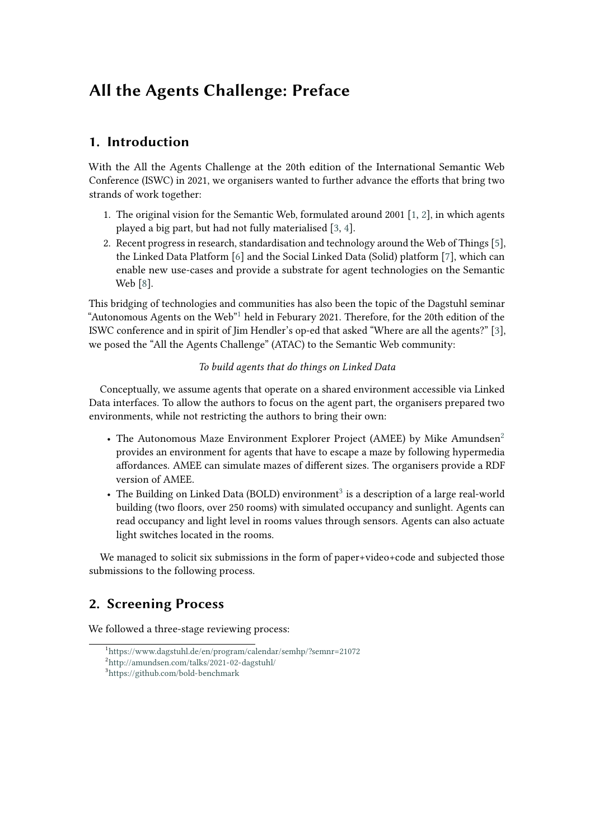# **All the Agents Challenge: Preface**

# **1. Introduction**

With the All the Agents Challenge at the 20th edition of the International Semantic Web Conference (ISWC) in 2021, we organisers wanted to further advance the efforts that bring two strands of work together:

- 1. The original vision for the Semantic Web, formulated around 2001 [\[1,](#page-4-0) [2\]](#page-4-1), in which agents played a big part, but had not fully materialised [\[3,](#page-4-2) [4\]](#page-4-3).
- 2. Recent progress in research, standardisation and technology around the Web of Things [\[5\]](#page-4-4), the Linked Data Platform [\[6\]](#page-4-5) and the Social Linked Data (Solid) platform [\[7\]](#page-4-6), which can enable new use-cases and provide a substrate for agent technologies on the Semantic Web [\[8\]](#page-4-7).

This bridging of technologies and communities has also been the topic of the Dagstuhl seminar "Autonomous Agents on the Web"[1](#page-0-0) held in Feburary 2021. Therefore, for the 20th edition of the ISWC conference and in spirit of Jim Hendler's op-ed that asked "Where are all the agents?" [\[3\]](#page-4-2), we posed the "All the Agents Challenge" (ATAC) to the Semantic Web community:

#### *To build agents that do things on Linked Data*

Conceptually, we assume agents that operate on a shared environment accessible via Linked Data interfaces. To allow the authors to focus on the agent part, the organisers prepared two environments, while not restricting the authors to bring their own:

- The Autonomous Maze Environment Explorer Project (AMEE) by Mike Amundsen<sup>[2](#page-0-1)</sup> provides an environment for agents that have to escape a maze by following hypermedia affordances. AMEE can simulate mazes of different sizes. The organisers provide a RDF version of AMEE.
- The Building on Linked Data (BOLD) environment<sup>[3](#page-0-2)</sup> is a description of a large real-world building (two floors, over 250 rooms) with simulated occupancy and sunlight. Agents can read occupancy and light level in rooms values through sensors. Agents can also actuate light switches located in the rooms.

We managed to solicit six submissions in the form of paper+video+code and subjected those submissions to the following process.

# **2. Screening Process**

We followed a three-stage reviewing process:

<span id="page-0-0"></span><sup>1</sup> <https://www.dagstuhl.de/en/program/calendar/semhp/?semnr=21072>

<span id="page-0-1"></span><sup>2</sup> <http://amundsen.com/talks/2021-02-dagstuhl/>

<span id="page-0-2"></span><sup>3</sup> <https://github.com/bold-benchmark>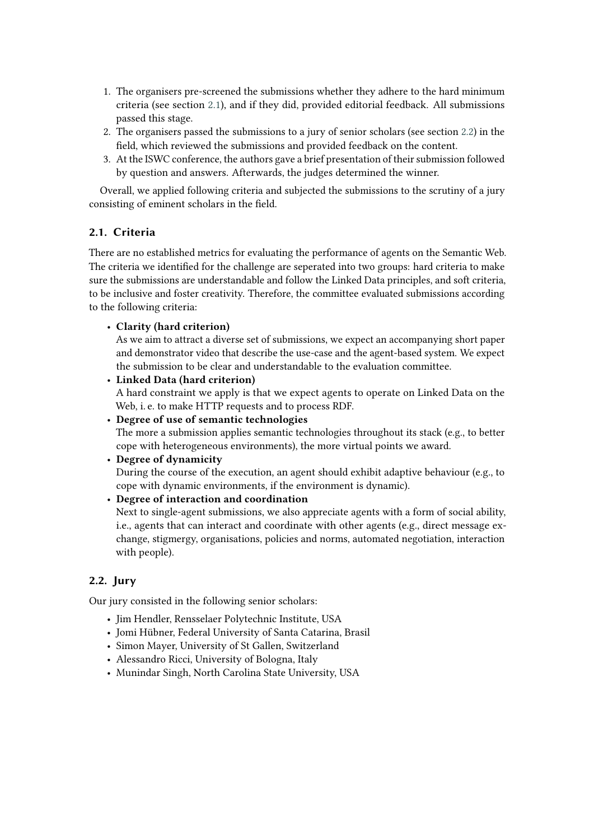- 1. The organisers pre-screened the submissions whether they adhere to the hard minimum criteria (see section [2.1\)](#page-1-0), and if they did, provided editorial feedback. All submissions passed this stage.
- 2. The organisers passed the submissions to a jury of senior scholars (see section [2.2\)](#page-1-1) in the field, which reviewed the submissions and provided feedback on the content.
- 3. At the ISWC conference, the authors gave a brief presentation of their submission followed by question and answers. Afterwards, the judges determined the winner.

Overall, we applied following criteria and subjected the submissions to the scrutiny of a jury consisting of eminent scholars in the field.

#### <span id="page-1-0"></span>**2.1. Criteria**

There are no established metrics for evaluating the performance of agents on the Semantic Web. The criteria we identified for the challenge are seperated into two groups: hard criteria to make sure the submissions are understandable and follow the Linked Data principles, and soft criteria, to be inclusive and foster creativity. Therefore, the committee evaluated submissions according to the following criteria:

#### • **Clarity (hard criterion)**

As we aim to attract a diverse set of submissions, we expect an accompanying short paper and demonstrator video that describe the use-case and the agent-based system. We expect the submission to be clear and understandable to the evaluation committee.

• **Linked Data (hard criterion)**

A hard constraint we apply is that we expect agents to operate on Linked Data on the Web, i. e. to make HTTP requests and to process RDF.

• **Degree of use of semantic technologies**

The more a submission applies semantic technologies throughout its stack (e.g., to better cope with heterogeneous environments), the more virtual points we award.

#### • **Degree of dynamicity**

During the course of the execution, an agent should exhibit adaptive behaviour (e.g., to cope with dynamic environments, if the environment is dynamic).

• **Degree of interaction and coordination**

Next to single-agent submissions, we also appreciate agents with a form of social ability, i.e., agents that can interact and coordinate with other agents (e.g., direct message exchange, stigmergy, organisations, policies and norms, automated negotiation, interaction with people).

#### <span id="page-1-1"></span>**2.2. Jury**

Our jury consisted in the following senior scholars:

- Jim Hendler, Rensselaer Polytechnic Institute, USA
- Jomi Hübner, Federal University of Santa Catarina, Brasil
- Simon Mayer, University of St Gallen, Switzerland
- Alessandro Ricci, University of Bologna, Italy
- Munindar Singh, North Carolina State University, USA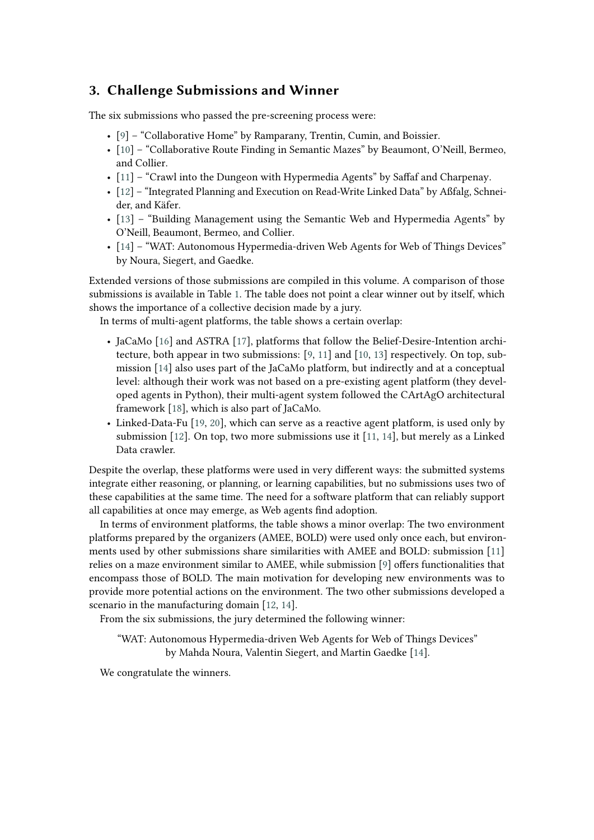## **3. Challenge Submissions and Winner**

The six submissions who passed the pre-screening process were:

- [\[9\]](#page-5-0) "Collaborative Home" by Ramparany, Trentin, Cumin, and Boissier.
- [\[10\]](#page-5-1) "Collaborative Route Finding in Semantic Mazes" by Beaumont, O'Neill, Bermeo, and Collier.
- [\[11\]](#page-5-2) "Crawl into the Dungeon with Hypermedia Agents" by Saffaf and Charpenay.
- [\[12\]](#page-5-3) "Integrated Planning and Execution on Read-Write Linked Data" by Aßfalg, Schneider, and Käfer.
- [\[13\]](#page-5-4) "Building Management using the Semantic Web and Hypermedia Agents" by O'Neill, Beaumont, Bermeo, and Collier.
- [\[14\]](#page-5-5) "WAT: Autonomous Hypermedia-driven Web Agents for Web of Things Devices" by Noura, Siegert, and Gaedke.

Extended versions of those submissions are compiled in this volume. A comparison of those submissions is available in Table [1.](#page-3-0) The table does not point a clear winner out by itself, which shows the importance of a collective decision made by a jury.

In terms of multi-agent platforms, the table shows a certain overlap:

- JaCaMo [\[16\]](#page-5-6) and ASTRA [\[17\]](#page-5-7), platforms that follow the Belief-Desire-Intention architecture, both appear in two submissions: [\[9,](#page-5-0) [11\]](#page-5-2) and [\[10,](#page-5-1) [13\]](#page-5-4) respectively. On top, submission [\[14\]](#page-5-5) also uses part of the JaCaMo platform, but indirectly and at a conceptual level: although their work was not based on a pre-existing agent platform (they developed agents in Python), their multi-agent system followed the CArtAgO architectural framework [\[18\]](#page-5-8), which is also part of JaCaMo.
- Linked-Data-Fu [\[19,](#page-5-9) [20\]](#page-5-10), which can serve as a reactive agent platform, is used only by submission [\[12\]](#page-5-3). On top, two more submissions use it [\[11,](#page-5-2) [14\]](#page-5-5), but merely as a Linked Data crawler.

Despite the overlap, these platforms were used in very different ways: the submitted systems integrate either reasoning, or planning, or learning capabilities, but no submissions uses two of these capabilities at the same time. The need for a software platform that can reliably support all capabilities at once may emerge, as Web agents find adoption.

In terms of environment platforms, the table shows a minor overlap: The two environment platforms prepared by the organizers (AMEE, BOLD) were used only once each, but environments used by other submissions share similarities with AMEE and BOLD: submission [\[11\]](#page-5-2) relies on a maze environment similar to AMEE, while submission [\[9\]](#page-5-0) offers functionalities that encompass those of BOLD. The main motivation for developing new environments was to provide more potential actions on the environment. The two other submissions developed a scenario in the manufacturing domain [\[12,](#page-5-3) [14\]](#page-5-5).

From the six submissions, the jury determined the following winner:

"WAT: Autonomous Hypermedia-driven Web Agents for Web of Things Devices" by Mahda Noura, Valentin Siegert, and Martin Gaedke [\[14\]](#page-5-5).

We congratulate the winners.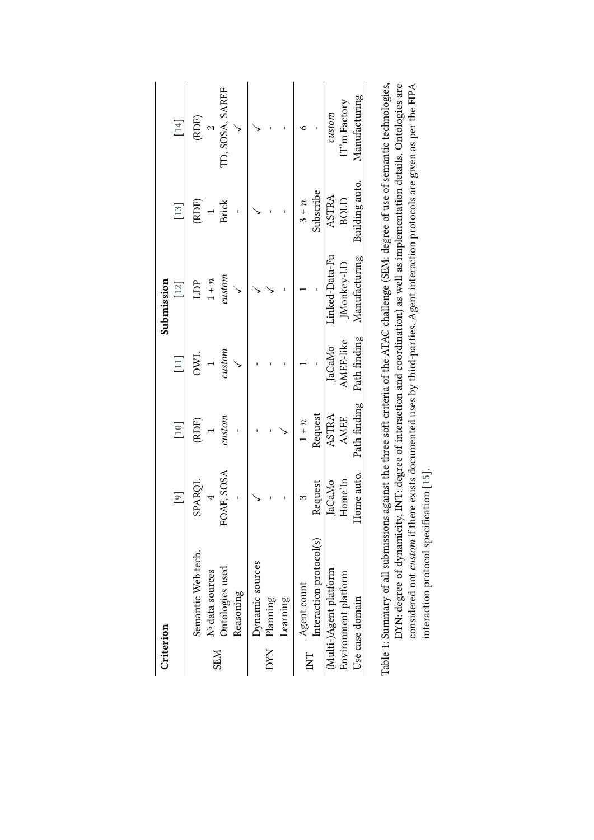| Criterion             |                                                                                                                                         |                |               |                  | Submission    |                |                 |
|-----------------------|-----------------------------------------------------------------------------------------------------------------------------------------|----------------|---------------|------------------|---------------|----------------|-----------------|
|                       |                                                                                                                                         | $\boxed{9}$    | $[10]$        | $[11]$           | $[12]$        | $[13]$         | $[14]$          |
|                       | Semantic Web tech.                                                                                                                      | SPARQL         | (RDF)         | JMC              | EDP           | (RDF)          | (RDF)           |
| <b>SEM</b>            | Nº data sources                                                                                                                         | $\overline{4}$ |               |                  | $1 + n$       |                | $\mathcal{L}$   |
|                       | Ontologies used                                                                                                                         | FOAF, SOSA     | $\alpha$ stom | $\it{custom}$    | $\alpha$ stom | <b>Brick</b>   | TD, SOSA, SAREF |
|                       | Reasoning                                                                                                                               |                |               |                  |               |                |                 |
|                       | Dynamic sources                                                                                                                         |                |               |                  |               |                |                 |
| DYN                   | Planning                                                                                                                                |                |               |                  |               |                |                 |
|                       | Learning                                                                                                                                |                |               |                  |               |                |                 |
| $\overline{\text{K}}$ | Agent count                                                                                                                             |                | $1 + n$       |                  |               | $3 + n$        |                 |
|                       | Interaction protocol(s)                                                                                                                 | Request        | Request       |                  |               | Subscribe      |                 |
|                       | (Multi-)Agent platform                                                                                                                  | JaCaMo         | ASTRA         | JaCaMo           | inked-Data-Fu | ASTRA          | custom          |
|                       | Environment platform                                                                                                                    | Home'In        | <b>AMEE</b>   | <b>AMEE-like</b> | Monkey-LD     | BOLD           | IT'm Factory    |
|                       | Use case domain                                                                                                                         | Home auto.     | Path finding  | Path finding     | Manufacturing | Building auto. | Manufacturing   |
|                       | Table 1: Summary of all submissions against the three soft criteria of the ATAC challenge (SEM: degree of use of semantic technologies, |                |               |                  |               |                |                 |

<span id="page-3-0"></span>

| ions against the three soft criteria of the ATAC challenge (SEM: degree of use of semantic technologies,<br>icity, INT: degree of interaction and coordination) as well as implementation details. Ontologies are<br>ble 1: Summary of all submission<br>OYN: degree of dynam |
|-------------------------------------------------------------------------------------------------------------------------------------------------------------------------------------------------------------------------------------------------------------------------------|
| considered not custom if there exists documented uses by third-parties. Agent interaction protocols are given as per the FIPA                                                                                                                                                 |
| teraction protocol specification [15].                                                                                                                                                                                                                                        |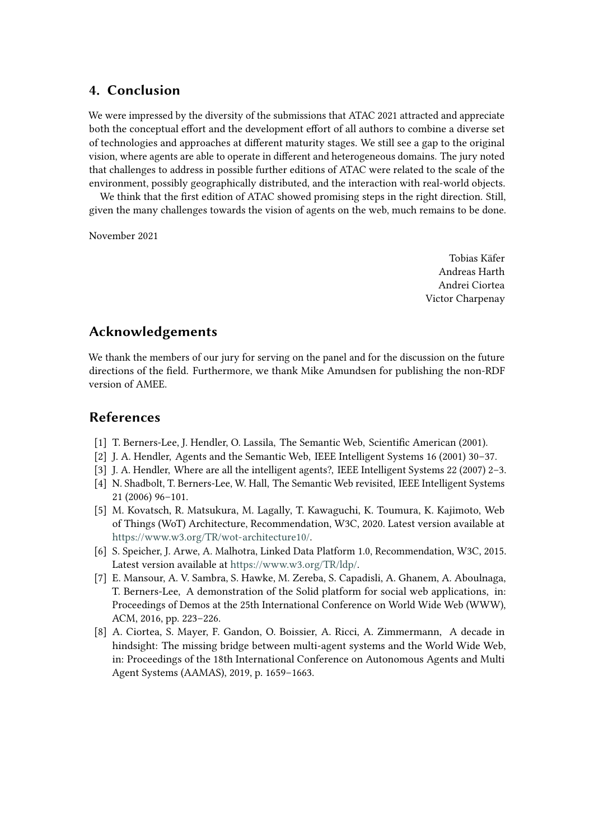### **4. Conclusion**

We were impressed by the diversity of the submissions that ATAC 2021 attracted and appreciate both the conceptual effort and the development effort of all authors to combine a diverse set of technologies and approaches at different maturity stages. We still see a gap to the original vision, where agents are able to operate in different and heterogeneous domains. The jury noted that challenges to address in possible further editions of ATAC were related to the scale of the environment, possibly geographically distributed, and the interaction with real-world objects.

We think that the first edition of ATAC showed promising steps in the right direction. Still, given the many challenges towards the vision of agents on the web, much remains to be done.

November 2021

Tobias Käfer Andreas Harth Andrei Ciortea Victor Charpenay

### **Acknowledgements**

We thank the members of our jury for serving on the panel and for the discussion on the future directions of the field. Furthermore, we thank Mike Amundsen for publishing the non-RDF version of AMEE.

### **References**

- <span id="page-4-0"></span>[1] T. Berners-Lee, J. Hendler, O. Lassila, The Semantic Web, Scientific American (2001).
- <span id="page-4-1"></span>[2] J. A. Hendler, Agents and the Semantic Web, IEEE Intelligent Systems 16 (2001) 30–37.
- <span id="page-4-2"></span>[3] J. A. Hendler, Where are all the intelligent agents?, IEEE Intelligent Systems 22 (2007) 2–3.
- <span id="page-4-3"></span>[4] N. Shadbolt, T. Berners-Lee, W. Hall, The Semantic Web revisited, IEEE Intelligent Systems 21 (2006) 96–101.
- <span id="page-4-4"></span>[5] M. Kovatsch, R. Matsukura, M. Lagally, T. Kawaguchi, K. Toumura, K. Kajimoto, Web of Things (WoT) Architecture, Recommendation, W3C, 2020. Latest version available at [https://www.w3.org/TR/wot-architecture10/.](https://www.w3.org/TR/wot-architecture10/)
- <span id="page-4-5"></span>[6] S. Speicher, J. Arwe, A. Malhotra, Linked Data Platform 1.0, Recommendation, W3C, 2015. Latest version available at [https://www.w3.org/TR/ldp/.](https://www.w3.org/TR/ldp/)
- <span id="page-4-6"></span>[7] E. Mansour, A. V. Sambra, S. Hawke, M. Zereba, S. Capadisli, A. Ghanem, A. Aboulnaga, T. Berners-Lee, A demonstration of the Solid platform for social web applications, in: Proceedings of Demos at the 25th International Conference on World Wide Web (WWW), ACM, 2016, pp. 223–226.
- <span id="page-4-7"></span>[8] A. Ciortea, S. Mayer, F. Gandon, O. Boissier, A. Ricci, A. Zimmermann, A decade in hindsight: The missing bridge between multi-agent systems and the World Wide Web, in: Proceedings of the 18th International Conference on Autonomous Agents and Multi Agent Systems (AAMAS), 2019, p. 1659–1663.